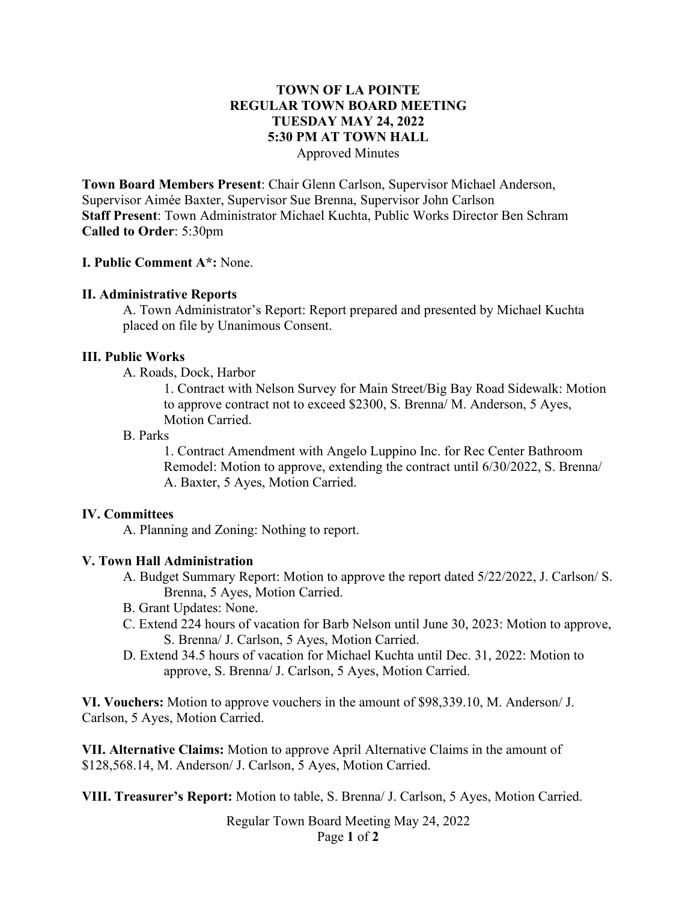## **TOWN OF LA POINTE REGULAR TOWN BOARD MEETING TUESDAY MAY 24, 2022 5:30 PM AT TOWN HALL** Approved Minutes

**Town Board Members Present**: Chair Glenn Carlson, Supervisor Michael Anderson, Supervisor Aimée Baxter, Supervisor Sue Brenna, Supervisor John Carlson **Staff Present**: Town Administrator Michael Kuchta, Public Works Director Ben Schram **Called to Order**: 5:30pm

## **I. Public Comment A\*:** None.

## **II. Administrative Reports**

A. Town Administrator's Report: Report prepared and presented by Michael Kuchta placed on file by Unanimous Consent.

## **III. Public Works**

A. Roads, Dock, Harbor

1. Contract with Nelson Survey for Main Street/Big Bay Road Sidewalk: Motion to approve contract not to exceed \$2300, S. Brenna/ M. Anderson, 5 Ayes, Motion Carried.

## B. Parks

1. Contract Amendment with Angelo Luppino Inc. for Rec Center Bathroom Remodel: Motion to approve, extending the contract until 6/30/2022, S. Brenna/ A. Baxter, 5 Ayes, Motion Carried.

## **IV. Committees**

A. Planning and Zoning: Nothing to report.

## **V. Town Hall Administration**

- A. Budget Summary Report: Motion to approve the report dated 5/22/2022, J. Carlson/ S. Brenna, 5 Ayes, Motion Carried.
- B. Grant Updates: None.
- C. Extend 224 hours of vacation for Barb Nelson until June 30, 2023: Motion to approve, S. Brenna/ J. Carlson, 5 Ayes, Motion Carried.
- D. Extend 34.5 hours of vacation for Michael Kuchta until Dec. 31, 2022: Motion to approve, S. Brenna/ J. Carlson, 5 Ayes, Motion Carried.

**VI. Vouchers:** Motion to approve vouchers in the amount of \$98,339.10, M. Anderson/ J. Carlson, 5 Ayes, Motion Carried.

**VII. Alternative Claims:** Motion to approve April Alternative Claims in the amount of \$128,568.14, M. Anderson/ J. Carlson, 5 Ayes, Motion Carried.

**VIII. Treasurer's Report:** Motion to table, S. Brenna/ J. Carlson, 5 Ayes, Motion Carried.

Regular Town Board Meeting May 24, 2022 Page **1** of **2**